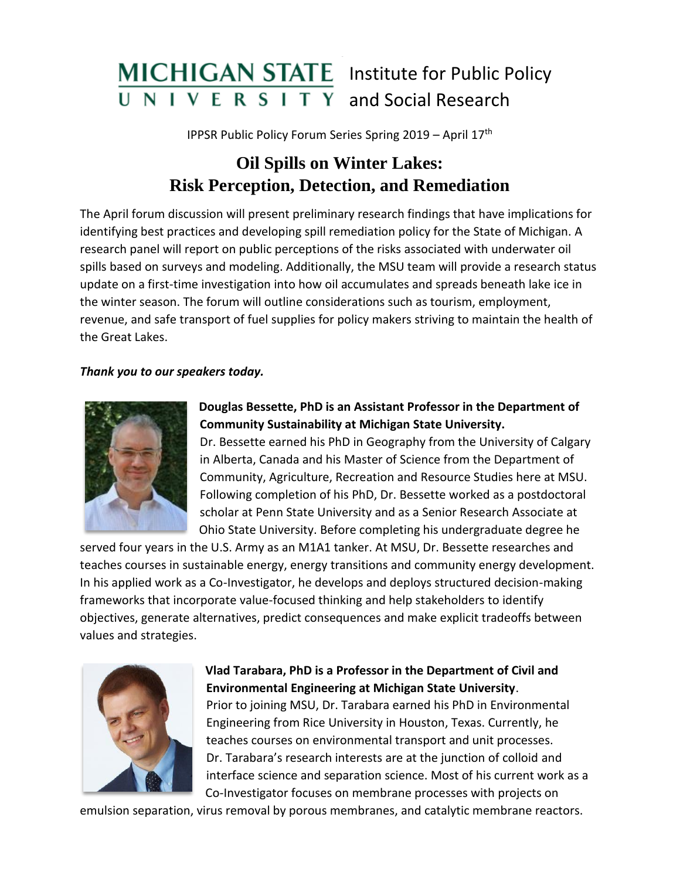

IPPSR Public Policy Forum Series Spring 2019 – April 17th

# **Oil Spills on Winter Lakes: Risk Perception, Detection, and Remediation**

The April forum discussion will present preliminary research findings that have implications for identifying best practices and developing spill remediation policy for the State of Michigan. A research panel will report on public perceptions of the risks associated with underwater oil spills based on surveys and modeling. Additionally, the MSU team will provide a research status update on a first-time investigation into how oil accumulates and spreads beneath lake ice in the winter season. The forum will outline considerations such as tourism, employment, revenue, and safe transport of fuel supplies for policy makers striving to maintain the health of the Great Lakes.

#### *Thank you to our speakers today.*



#### **Douglas Bessette, PhD is an Assistant Professor in the Department of Community Sustainability at Michigan State University.**

Dr. Bessette earned his PhD in Geography from the University of Calgary in Alberta, Canada and his Master of Science from the Department of Community, Agriculture, Recreation and Resource Studies here at MSU. Following completion of his PhD, Dr. Bessette worked as a postdoctoral scholar at Penn State University and as a Senior Research Associate at Ohio State University. Before completing his undergraduate degree he

served four years in the U.S. Army as an M1A1 tanker. At MSU, Dr. Bessette researches and teaches courses in sustainable energy, energy transitions and community energy development. In his applied work as a Co-Investigator, he develops and deploys structured decision-making frameworks that incorporate value-focused thinking and help stakeholders to identify objectives, generate alternatives, predict consequences and make explicit tradeoffs between values and strategies.



### **Vlad Tarabara, PhD is a Professor in the Department of Civil and Environmental Engineering at Michigan State University**.

Prior to joining MSU, Dr. Tarabara earned his PhD in Environmental Engineering from Rice University in Houston, Texas. Currently, he teaches courses on environmental transport and unit processes. Dr. Tarabara's research interests are at the junction of colloid and interface science and separation science. Most of his current work as a Co-Investigator focuses on membrane processes with projects on

emulsion separation, virus removal by porous membranes, and catalytic membrane reactors.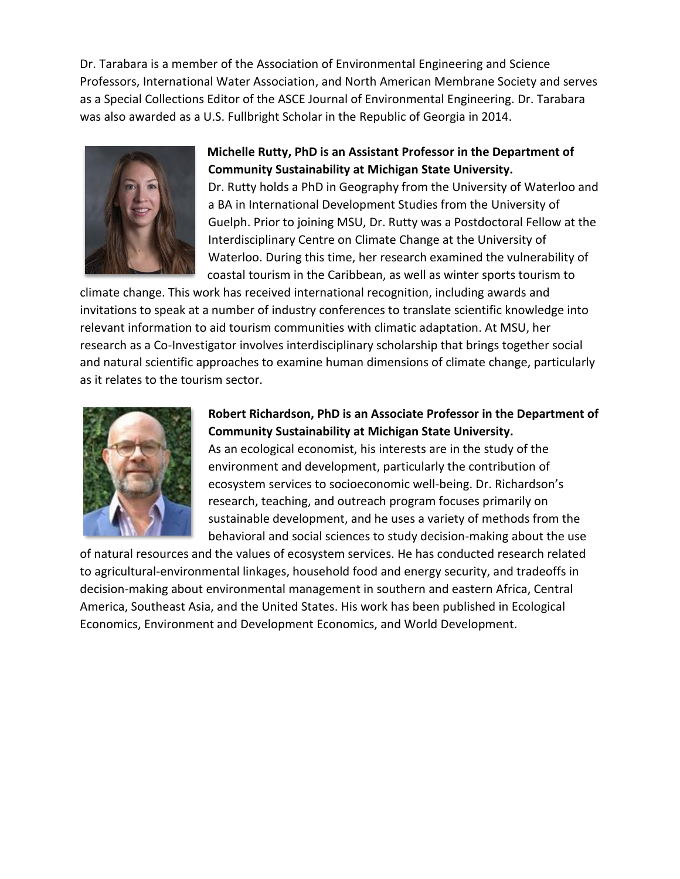Dr. Tarabara is a member of the Association of Environmental Engineering and Science Professors, International Water Association, and North American Membrane Society and serves as a Special Collections Editor of the ASCE Journal of Environmental Engineering. Dr. Tarabara was also awarded as a U.S. Fullbright Scholar in the Republic of Georgia in 2014.



#### **Michelle Rutty, PhD is an Assistant Professor in the Department of Community Sustainability at Michigan State University.**

Dr. Rutty holds a PhD in Geography from the University of Waterloo and a BA in International Development Studies from the University of Guelph. Prior to joining MSU, Dr. Rutty was a Postdoctoral Fellow at the Interdisciplinary Centre on Climate Change at the University of Waterloo. During this time, her research examined the vulnerability of coastal tourism in the Caribbean, as well as winter sports tourism to

climate change. This work has received international recognition, including awards and invitations to speak at a number of industry conferences to translate scientific knowledge into relevant information to aid tourism communities with climatic adaptation. At MSU, her research as a Co-Investigator involves interdisciplinary scholarship that brings together social and natural scientific approaches to examine human dimensions of climate change, particularly as it relates to the tourism sector.



#### **Robert Richardson, PhD is an Associate Professor in the Department of Community Sustainability at Michigan State University.**

As an ecological economist, his interests are in the study of the environment and development, particularly the contribution of ecosystem services to socioeconomic well-being. Dr. Richardson's research, teaching, and outreach program focuses primarily on sustainable development, and he uses a variety of methods from the behavioral and social sciences to study decision-making about the use

of natural resources and the values of ecosystem services. He has conducted research related to agricultural-environmental linkages, household food and energy security, and tradeoffs in decision-making about environmental management in southern and eastern Africa, Central America, Southeast Asia, and the United States. His work has been published in Ecological Economics, Environment and Development Economics, and World Development.